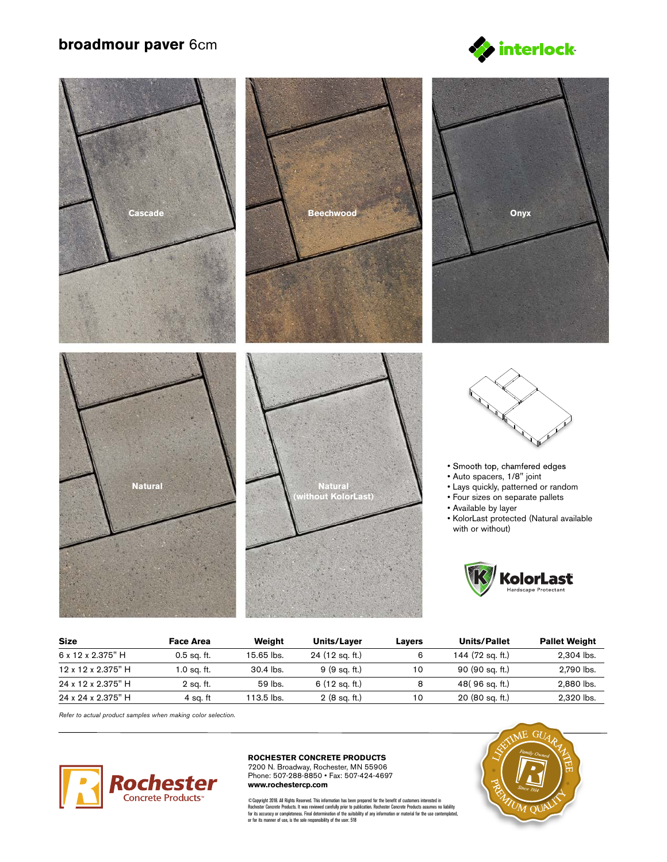## **broadmour paver** 6cm





| <b>Size</b>        | Face Area     | Weight      | Units/Layer            | Lavers | <b>Units/Pallet</b> | <b>Pallet Weight</b> |
|--------------------|---------------|-------------|------------------------|--------|---------------------|----------------------|
| 6 x 12 x 2.375" H  | $0.5$ sq. ft. | 15.65 lbs.  | 24 (12 sq. ft.)        | 6      | 144 (72 sq. ft.)    | 2,304 lbs.           |
| 12 x 12 x 2.375" H | 1.0 sq. ft.   | $30.4$ lbs. | 9(9 sq. ft.)           | 10     | 90 (90 sq. ft.)     | 2,790 lbs.           |
| 24 x 12 x 2.375" H | 2 sa. ft.     | 59 lbs.     | 6 (12 sq. ft.)         | 8      | 48(96 sq. ft.)      | 2,880 lbs.           |
| 24 x 24 x 2.375" H | 4 sa. ft      | 113.5 lbs.  | $2(8 \text{ sq. ft.})$ | 10     | 20 (80 sq. ft.)     | 2.320 lbs.           |

*Refer to actual product samples when making color selection.*



## **ROCHESTER CONCRETE PRODUCTS**

7200 N. Broadway, Rochester, MN 55906 Phone: 507-288-8850 • Fax: 507-424-4697 **www.rochestercp.com**

©Copyright 2018. All Rights Reserved. This information has been prepared for the benefit of customers interested in<br>Rochester Concrete Products. It was reviewed carrellily prior to publication. Rochester Concrete Products